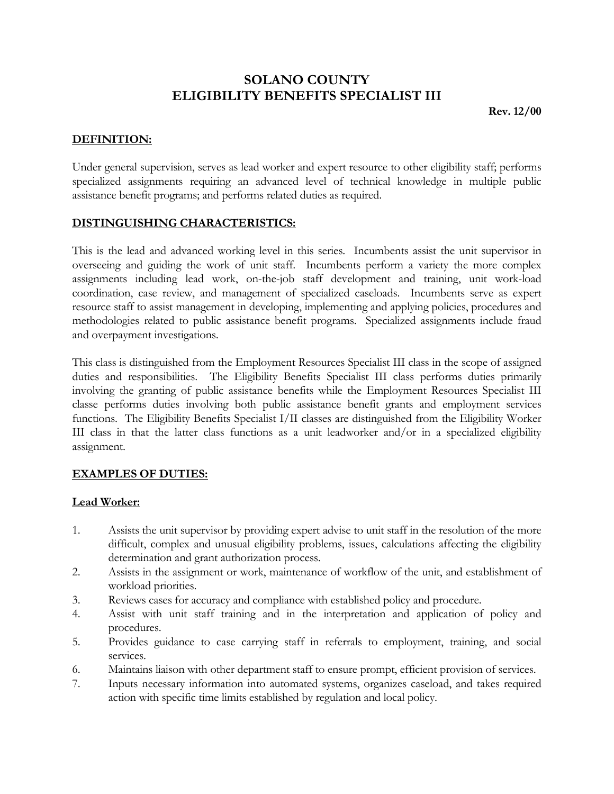# **SOLANO COUNTY ELIGIBILITY BENEFITS SPECIALIST III**

**Rev. 12/00**

#### **DEFINITION:**

Under general supervision, serves as lead worker and expert resource to other eligibility staff; performs specialized assignments requiring an advanced level of technical knowledge in multiple public assistance benefit programs; and performs related duties as required.

#### **DISTINGUISHING CHARACTERISTICS:**

This is the lead and advanced working level in this series. Incumbents assist the unit supervisor in overseeing and guiding the work of unit staff. Incumbents perform a variety the more complex assignments including lead work, on-the-job staff development and training, unit work-load coordination, case review, and management of specialized caseloads. Incumbents serve as expert resource staff to assist management in developing, implementing and applying policies, procedures and methodologies related to public assistance benefit programs. Specialized assignments include fraud and overpayment investigations.

This class is distinguished from the Employment Resources Specialist III class in the scope of assigned duties and responsibilities. The Eligibility Benefits Specialist III class performs duties primarily involving the granting of public assistance benefits while the Employment Resources Specialist III classe performs duties involving both public assistance benefit grants and employment services functions. The Eligibility Benefits Specialist I/II classes are distinguished from the Eligibility Worker III class in that the latter class functions as a unit leadworker and/or in a specialized eligibility assignment.

### **EXAMPLES OF DUTIES:**

#### **Lead Worker:**

- 1. Assists the unit supervisor by providing expert advise to unit staff in the resolution of the more difficult, complex and unusual eligibility problems, issues, calculations affecting the eligibility determination and grant authorization process.
- 2. Assists in the assignment or work, maintenance of workflow of the unit, and establishment of workload priorities.
- 3. Reviews cases for accuracy and compliance with established policy and procedure.
- 4. Assist with unit staff training and in the interpretation and application of policy and procedures.
- 5. Provides guidance to case carrying staff in referrals to employment, training, and social services.
- 6. Maintains liaison with other department staff to ensure prompt, efficient provision of services.
- 7. Inputs necessary information into automated systems, organizes caseload, and takes required action with specific time limits established by regulation and local policy.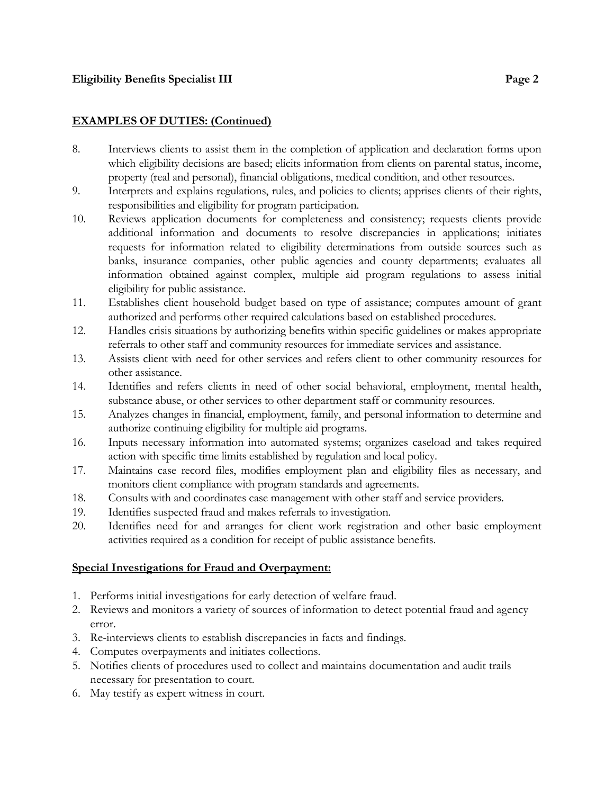## **EXAMPLES OF DUTIES: (Continued)**

- 8. Interviews clients to assist them in the completion of application and declaration forms upon which eligibility decisions are based; elicits information from clients on parental status, income, property (real and personal), financial obligations, medical condition, and other resources.
- 9. Interprets and explains regulations, rules, and policies to clients; apprises clients of their rights, responsibilities and eligibility for program participation.
- 10. Reviews application documents for completeness and consistency; requests clients provide additional information and documents to resolve discrepancies in applications; initiates requests for information related to eligibility determinations from outside sources such as banks, insurance companies, other public agencies and county departments; evaluates all information obtained against complex, multiple aid program regulations to assess initial eligibility for public assistance.
- 11. Establishes client household budget based on type of assistance; computes amount of grant authorized and performs other required calculations based on established procedures.
- 12. Handles crisis situations by authorizing benefits within specific guidelines or makes appropriate referrals to other staff and community resources for immediate services and assistance.
- 13. Assists client with need for other services and refers client to other community resources for other assistance.
- 14. Identifies and refers clients in need of other social behavioral, employment, mental health, substance abuse, or other services to other department staff or community resources.
- 15. Analyzes changes in financial, employment, family, and personal information to determine and authorize continuing eligibility for multiple aid programs.
- 16. Inputs necessary information into automated systems; organizes caseload and takes required action with specific time limits established by regulation and local policy.
- 17. Maintains case record files, modifies employment plan and eligibility files as necessary, and monitors client compliance with program standards and agreements.
- 18. Consults with and coordinates case management with other staff and service providers.
- 19. Identifies suspected fraud and makes referrals to investigation.
- 20. Identifies need for and arranges for client work registration and other basic employment activities required as a condition for receipt of public assistance benefits.

## **Special Investigations for Fraud and Overpayment:**

- 1. Performs initial investigations for early detection of welfare fraud.
- 2. Reviews and monitors a variety of sources of information to detect potential fraud and agency error.
- 3. Re-interviews clients to establish discrepancies in facts and findings.
- 4. Computes overpayments and initiates collections.
- 5. Notifies clients of procedures used to collect and maintains documentation and audit trails necessary for presentation to court.
- 6. May testify as expert witness in court.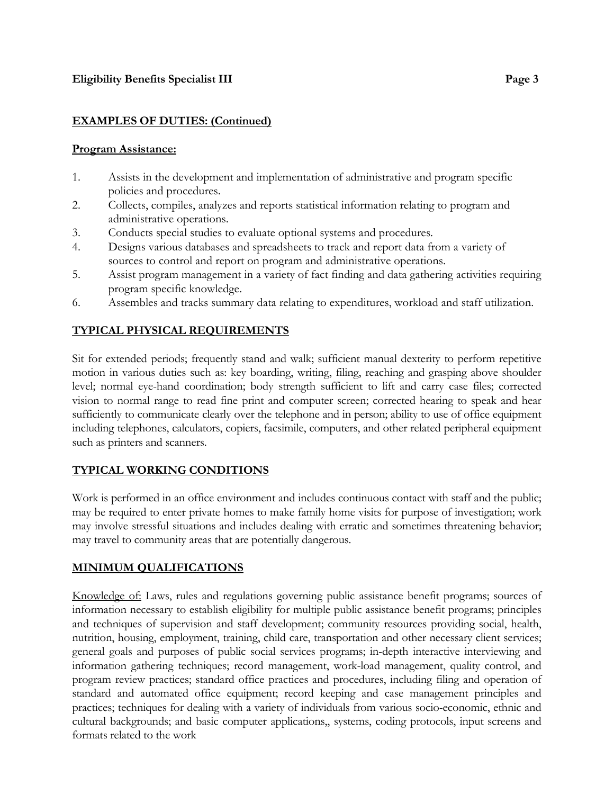## **EXAMPLES OF DUTIES: (Continued)**

### **Program Assistance:**

- 1. Assists in the development and implementation of administrative and program specific policies and procedures.
- 2. Collects, compiles, analyzes and reports statistical information relating to program and administrative operations.
- 3. Conducts special studies to evaluate optional systems and procedures.
- 4. Designs various databases and spreadsheets to track and report data from a variety of sources to control and report on program and administrative operations.
- 5. Assist program management in a variety of fact finding and data gathering activities requiring program specific knowledge.
- 6. Assembles and tracks summary data relating to expenditures, workload and staff utilization.

# **TYPICAL PHYSICAL REQUIREMENTS**

Sit for extended periods; frequently stand and walk; sufficient manual dexterity to perform repetitive motion in various duties such as: key boarding, writing, filing, reaching and grasping above shoulder level; normal eye-hand coordination; body strength sufficient to lift and carry case files; corrected vision to normal range to read fine print and computer screen; corrected hearing to speak and hear sufficiently to communicate clearly over the telephone and in person; ability to use of office equipment including telephones, calculators, copiers, facsimile, computers, and other related peripheral equipment such as printers and scanners.

# **TYPICAL WORKING CONDITIONS**

Work is performed in an office environment and includes continuous contact with staff and the public; may be required to enter private homes to make family home visits for purpose of investigation; work may involve stressful situations and includes dealing with erratic and sometimes threatening behavior; may travel to community areas that are potentially dangerous.

# **MINIMUM QUALIFICATIONS**

Knowledge of: Laws, rules and regulations governing public assistance benefit programs; sources of information necessary to establish eligibility for multiple public assistance benefit programs; principles and techniques of supervision and staff development; community resources providing social, health, nutrition, housing, employment, training, child care, transportation and other necessary client services; general goals and purposes of public social services programs; in-depth interactive interviewing and information gathering techniques; record management, work-load management, quality control, and program review practices; standard office practices and procedures, including filing and operation of standard and automated office equipment; record keeping and case management principles and practices; techniques for dealing with a variety of individuals from various socio-economic, ethnic and cultural backgrounds; and basic computer applications,, systems, coding protocols, input screens and formats related to the work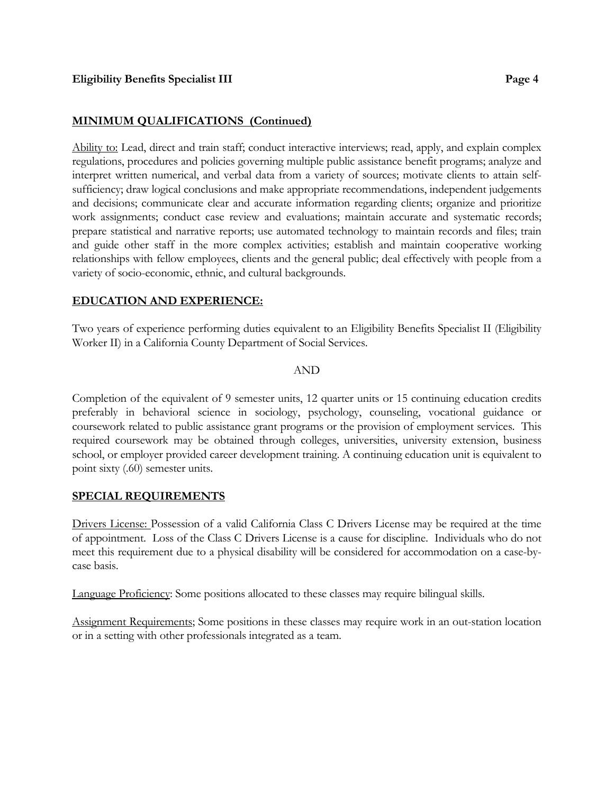### **MINIMUM QUALIFICATIONS (Continued)**

Ability to: Lead, direct and train staff; conduct interactive interviews; read, apply, and explain complex regulations, procedures and policies governing multiple public assistance benefit programs; analyze and interpret written numerical, and verbal data from a variety of sources; motivate clients to attain selfsufficiency; draw logical conclusions and make appropriate recommendations, independent judgements and decisions; communicate clear and accurate information regarding clients; organize and prioritize work assignments; conduct case review and evaluations; maintain accurate and systematic records; prepare statistical and narrative reports; use automated technology to maintain records and files; train and guide other staff in the more complex activities; establish and maintain cooperative working relationships with fellow employees, clients and the general public; deal effectively with people from a variety of socio-economic, ethnic, and cultural backgrounds.

### **EDUCATION AND EXPERIENCE:**

Two years of experience performing duties equivalent to an Eligibility Benefits Specialist II (Eligibility Worker II) in a California County Department of Social Services.

#### AND

Completion of the equivalent of 9 semester units, 12 quarter units or 15 continuing education credits preferably in behavioral science in sociology, psychology, counseling, vocational guidance or coursework related to public assistance grant programs or the provision of employment services. This required coursework may be obtained through colleges, universities, university extension, business school, or employer provided career development training. A continuing education unit is equivalent to point sixty (.60) semester units.

### **SPECIAL REQUIREMENTS**

Drivers License: Possession of a valid California Class C Drivers License may be required at the time of appointment. Loss of the Class C Drivers License is a cause for discipline. Individuals who do not meet this requirement due to a physical disability will be considered for accommodation on a case-bycase basis.

Language Proficiency: Some positions allocated to these classes may require bilingual skills.

Assignment Requirements; Some positions in these classes may require work in an out-station location or in a setting with other professionals integrated as a team.